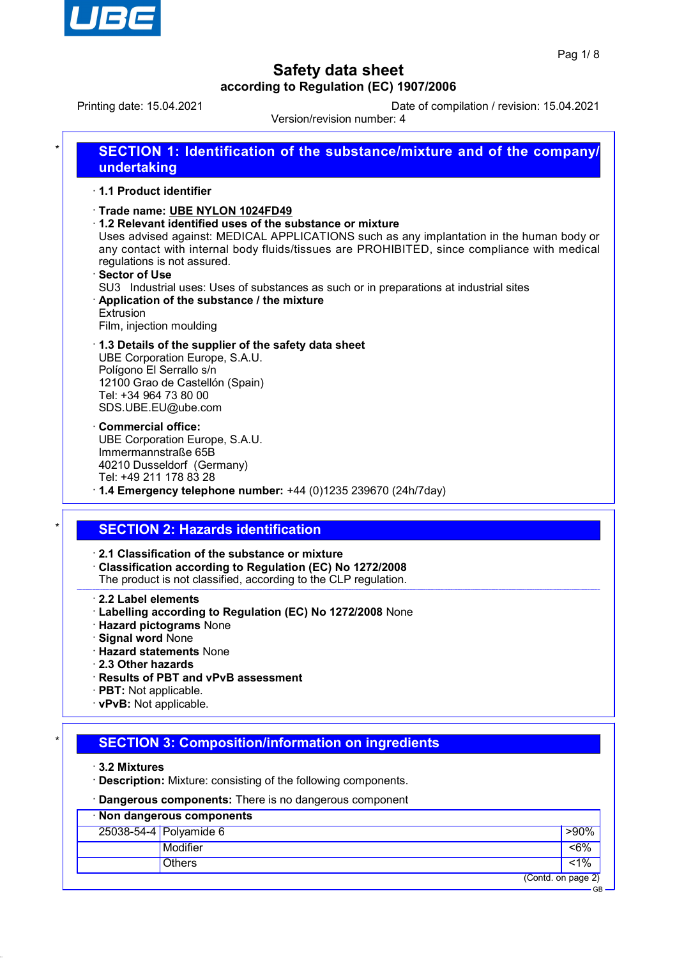

GB

# **Safety data sheet according to Regulation (EC) 1907/2006**

Printing date: 15.04.2021 Date of compilation / revision: 15.04.2021

Version/revision number: 4

| SECTION 1: Identification of the substance/mixture and of the company/                                                                                                                                                                                                                                                                                                                                                                                                                                                   |
|--------------------------------------------------------------------------------------------------------------------------------------------------------------------------------------------------------------------------------------------------------------------------------------------------------------------------------------------------------------------------------------------------------------------------------------------------------------------------------------------------------------------------|
| undertaking                                                                                                                                                                                                                                                                                                                                                                                                                                                                                                              |
| 1.1 Product identifier                                                                                                                                                                                                                                                                                                                                                                                                                                                                                                   |
| Trade name: UBE NYLON 1024FD49<br>1.2 Relevant identified uses of the substance or mixture<br>Uses advised against: MEDICAL APPLICATIONS such as any implantation in the human body or<br>any contact with internal body fluids/tissues are PROHIBITED, since compliance with medical<br>regulations is not assured.<br>· Sector of Use<br>SU3 Industrial uses: Uses of substances as such or in preparations at industrial sites<br>Application of the substance / the mixture<br>Extrusion<br>Film, injection moulding |
| 1.3 Details of the supplier of the safety data sheet<br>UBE Corporation Europe, S.A.U.<br>Polígono El Serrallo s/n<br>12100 Grao de Castellón (Spain)<br>Tel: +34 964 73 80 00<br>SDS.UBE.EU@ube.com                                                                                                                                                                                                                                                                                                                     |
| Commercial office:<br>UBE Corporation Europe, S.A.U.<br>Immermannstraße 65B<br>40210 Dusseldorf (Germany)<br>Tel: +49 211 178 83 28<br>$\cdot$ 1.4 Emergency telephone number: +44 (0)1235 239670 (24h/7day)                                                                                                                                                                                                                                                                                                             |
|                                                                                                                                                                                                                                                                                                                                                                                                                                                                                                                          |
| <b>SECTION 2: Hazards identification</b>                                                                                                                                                                                                                                                                                                                                                                                                                                                                                 |
| 2.1 Classification of the substance or mixture<br>Classification according to Regulation (EC) No 1272/2008<br>The product is not classified, according to the CLP regulation.                                                                                                                                                                                                                                                                                                                                            |
| $\cdot$ 2.2 Label elements<br>· Labelling according to Regulation (EC) No 1272/2008 None<br>· Hazard pictograms None<br>· Signal word None<br><b>Hazard statements None</b><br>2.3 Other hazards<br>· Results of PBT and vPvB assessment                                                                                                                                                                                                                                                                                 |

- · **PBT:** Not applicable.
- · **vPvB:** Not applicable.

# **SECTION 3: Composition/information on ingredients**

· **3.2 Mixtures**

- · **Description:** Mixture: consisting of the following components.
- · **Dangerous components:** There is no dangerous component

| Non dangerous components |                          |                    |  |  |
|--------------------------|--------------------------|--------------------|--|--|
|                          | $25038-54-4$ Polyamide 6 | >90%               |  |  |
|                          | Modifier                 | 58%                |  |  |
|                          | <b>Others</b>            | $< 1\%$            |  |  |
|                          |                          | (Contd. on page 2) |  |  |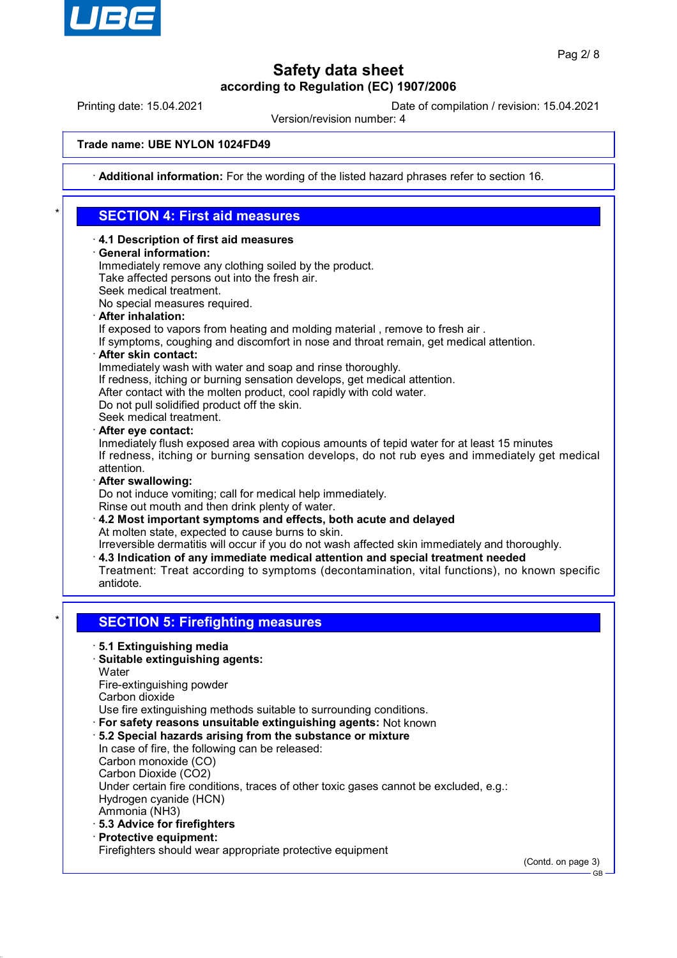

Printing date: 15.04.2021 Date of compilation / revision: 15.04.2021

Version/revision number: 4

#### **Trade name: UBE NYLON 1024FD49**

· **Additional information:** For the wording of the listed hazard phrases refer to section 16.

## \* **SECTION 4: First aid measures**

- · **4.1 Description of first aid measures**
- · **General information:**

Immediately remove any clothing soiled by the product. Take affected persons out into the fresh air.

- Seek medical treatment.
- No special measures required.
- · **After inhalation:**

If exposed to vapors from heating and molding material , remove to fresh air .

- If symptoms, coughing and discomfort in nose and throat remain, get medical attention.
- · **After skin contact:**

Immediately wash with water and soap and rinse thoroughly.

- If redness, itching or burning sensation develops, get medical attention.
- After contact with the molten product, cool rapidly with cold water.
- Do not pull solidified product off the skin.

Seek medical treatment.

· **After eye contact:**

Inmediately flush exposed area with copious amounts of tepid water for at least 15 minutes If redness, itching or burning sensation develops, do not rub eyes and immediately get medical attention.

· **After swallowing:**

Do not induce vomiting; call for medical help immediately.

- Rinse out mouth and then drink plenty of water.
- · **4.2 Most important symptoms and effects, both acute and delayed** At molten state, expected to cause burns to skin.

Irreversible dermatitis will occur if you do not wash affected skin immediately and thoroughly.

- · **4.3 Indication of any immediate medical attention and special treatment needed**
- Treatment: Treat according to symptoms (decontamination, vital functions), no known specific antidote.

## **SECTION 5: Firefighting measures**

- · **5.1 Extinguishing media**
- · **Suitable extinguishing agents:**
- **Water**

Fire-extinguishing powder

Carbon dioxide

Use fire extinguishing methods suitable to surrounding conditions.

- · **For safety reasons unsuitable extinguishing agents:** Not known
- · **5.2 Special hazards arising from the substance or mixture**

In case of fire, the following can be released: Carbon monoxide (CO) Carbon Dioxide (CO2)

Under certain fire conditions, traces of other toxic gases cannot be excluded, e.g.: Hydrogen cyanide (HCN)

Ammonia (NH3)

- · **5.3 Advice for firefighters**
- · **Protective equipment:**

Firefighters should wear appropriate protective equipment

(Contd. on page 3)

GB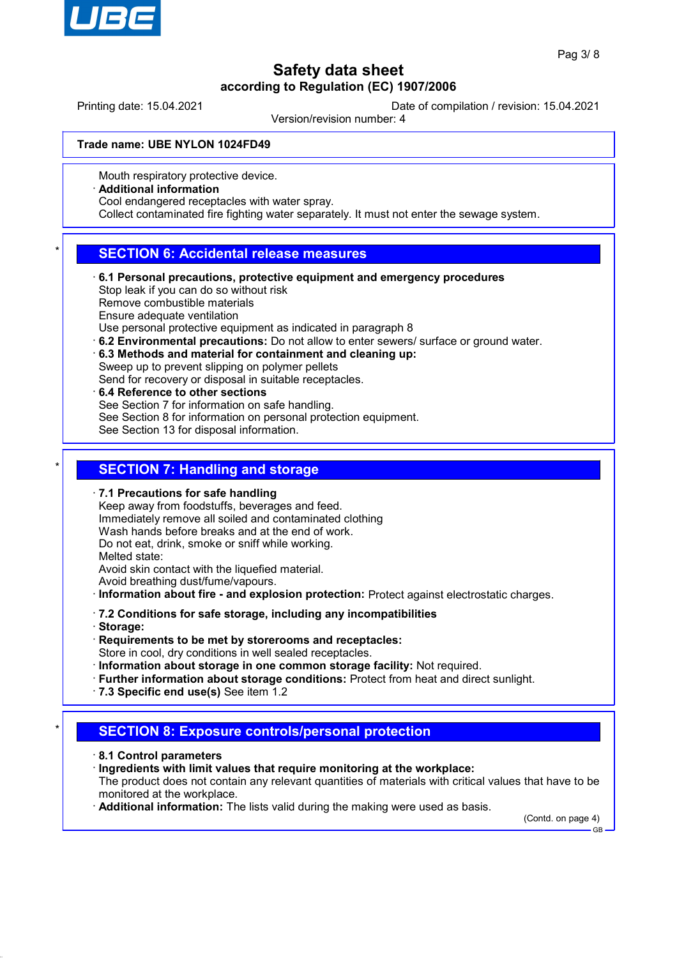

Printing date: 15.04.2021 Date of compilation / revision: 15.04.2021

Version/revision number: 4

#### **Trade name: UBE NYLON 1024FD49**

Mouth respiratory protective device.

#### · **Additional information**

Cool endangered receptacles with water spray.

Collect contaminated fire fighting water separately. It must not enter the sewage system.

## **SECTION 6: Accidental release measures**

· **6.1 Personal precautions, protective equipment and emergency procedures** Stop leak if you can do so without risk Remove combustible materials Ensure adequate ventilation

Use personal protective equipment as indicated in paragraph 8

- · **6.2 Environmental precautions:** Do not allow to enter sewers/ surface or ground water.
- · **6.3 Methods and material for containment and cleaning up:** Sweep up to prevent slipping on polymer pellets
- Send for recovery or disposal in suitable receptacles.
- · **6.4 Reference to other sections**

See Section 7 for information on safe handling.

See Section 8 for information on personal protection equipment.

See Section 13 for disposal information.

### **SECTION 7: Handling and storage**

#### · **7.1 Precautions for safe handling**

Keep away from foodstuffs, beverages and feed. Immediately remove all soiled and contaminated clothing Wash hands before breaks and at the end of work. Do not eat, drink, smoke or sniff while working. Melted state: Avoid skin contact with the liquefied material. Avoid breathing dust/fume/vapours.

· **Information about fire - and explosion protection:** Protect against electrostatic charges.

- · **7.2 Conditions for safe storage, including any incompatibilities**
- · **Storage:**
- · **Requirements to be met by storerooms and receptacles:** Store in cool, dry conditions in well sealed receptacles.
- · **Information about storage in one common storage facility:** Not required.
- · **Further information about storage conditions:** Protect from heat and direct sunlight.
- · **7.3 Specific end use(s)** See item 1.2

## **SECTION 8: Exposure controls/personal protection**

- · **8.1 Control parameters**
- · **Ingredients with limit values that require monitoring at the workplace:**

The product does not contain any relevant quantities of materials with critical values that have to be monitored at the workplace.

· **Additional information:** The lists valid during the making were used as basis.

(Contd. on page 4) GB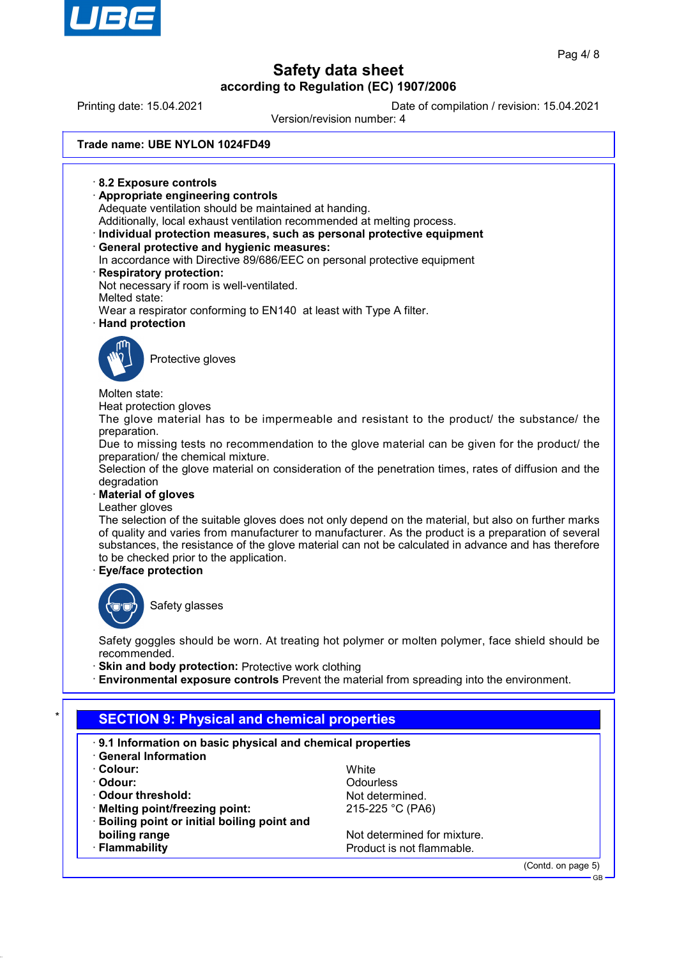

Printing date: 15.04.2021 Date of compilation / revision: 15.04.2021

Version/revision number: 4

### **Trade name: UBE NYLON 1024FD49**

· **8.2 Exposure controls** · **Appropriate engineering controls** Adequate ventilation should be maintained at handing. Additionally, local exhaust ventilation recommended at melting process. · **Individual protection measures, such as personal protective equipment** · **General protective and hygienic measures:** In accordance with Directive 89/686/EEC on personal protective equipment · **Respiratory protection:** Not necessary if room is well-ventilated. Melted state: Wear a respirator conforming to EN140 at least with Type A filter. · **Hand protection** Protective gloves Molten state: Heat protection gloves The glove material has to be impermeable and resistant to the product/ the substance/ the preparation. Due to missing tests no recommendation to the glove material can be given for the product/ the preparation/ the chemical mixture. Selection of the glove material on consideration of the penetration times, rates of diffusion and the degradation · **Material of gloves** Leather gloves

The selection of the suitable gloves does not only depend on the material, but also on further marks of quality and varies from manufacturer to manufacturer. As the product is a preparation of several substances, the resistance of the glove material can not be calculated in advance and has therefore to be checked prior to the application.

### · **Eye/face protection**



Safety glasses

Safety goggles should be worn. At treating hot polymer or molten polymer, face shield should be recommended.

**Skin and body protection: Protective work clothing** 

· **Environmental exposure controls** Prevent the material from spreading into the environment.

# **SECTION 9: Physical and chemical properties**

- · **9.1 Information on basic physical and chemical properties**
- · **General Information**
- · **Colour:** White
- 
- 
- Melting point/freezing point: 215-225 °C (PA6)
- · **Boiling point or initial boiling point and boiling range** Not determined for mixture.
- 

· **Odour:** Odourless **Odour threshold:** Not determined.

**Flammability Flammability Flammability Product is not flammable.** 

(Contd. on page 5)

GB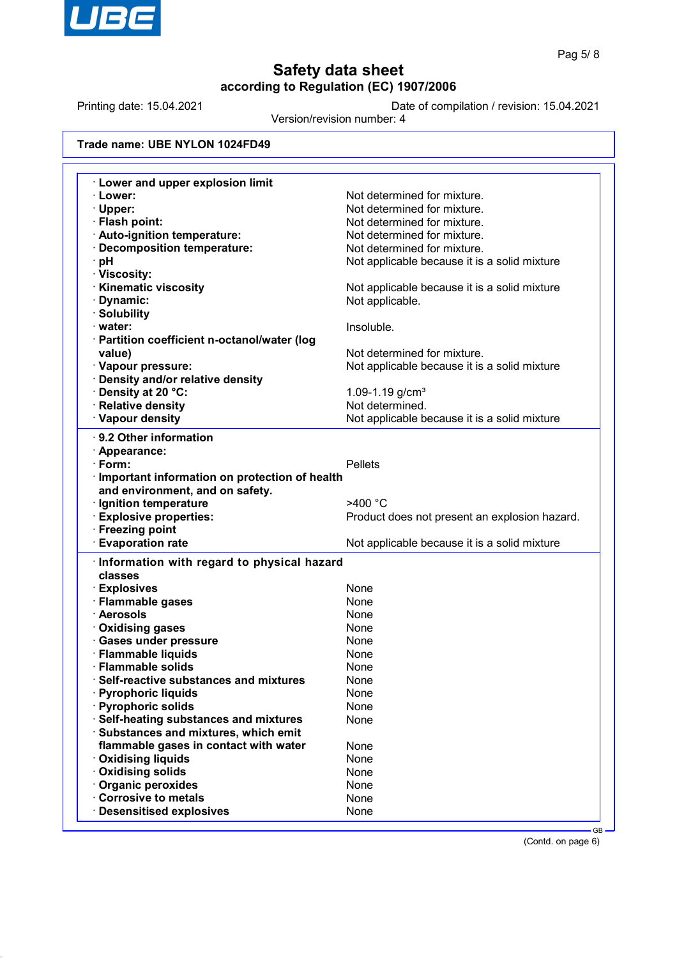

Printing date: 15.04.2021 Date of compilation / revision: 15.04.2021

Version/revision number: 4

### **Trade name: UBE NYLON 1024FD49**

| <b>Lower and upper explosion limit</b>                |                                               |
|-------------------------------------------------------|-----------------------------------------------|
| · Lower:                                              | Not determined for mixture.                   |
| · Upper:                                              | Not determined for mixture.                   |
| · Flash point:                                        | Not determined for mixture.                   |
| · Auto-ignition temperature:                          | Not determined for mixture.                   |
| Decomposition temperature:                            | Not determined for mixture.                   |
| ∙ pH                                                  | Not applicable because it is a solid mixture  |
| · Viscosity:                                          |                                               |
| <b>Kinematic viscosity</b>                            | Not applicable because it is a solid mixture  |
| · Dynamic:                                            | Not applicable.                               |
| · Solubility                                          |                                               |
| · water:                                              | Insoluble.                                    |
| · Partition coefficient n-octanol/water (log          |                                               |
| value)                                                | Not determined for mixture.                   |
| · Vapour pressure:                                    | Not applicable because it is a solid mixture  |
| <b>Density and/or relative density</b>                |                                               |
| Density at 20 °C:                                     | 1.09-1.19 $g/cm3$                             |
| · Relative density                                    | Not determined.                               |
| · Vapour density                                      | Not applicable because it is a solid mixture  |
|                                                       |                                               |
| 9.2 Other information                                 |                                               |
| · Appearance:                                         |                                               |
| $\cdot$ Form:                                         | <b>Pellets</b>                                |
| Important information on protection of health         |                                               |
| and environment, and on safety.                       |                                               |
| · Ignition temperature                                | >400 °C                                       |
| <b>Explosive properties:</b>                          | Product does not present an explosion hazard. |
| · Freezing point                                      |                                               |
|                                                       |                                               |
| <b>Evaporation rate</b>                               | Not applicable because it is a solid mixture  |
|                                                       |                                               |
| Information with regard to physical hazard<br>classes |                                               |
|                                                       |                                               |
| · Explosives                                          | None                                          |
| · Flammable gases                                     | None                                          |
| · Aerosols                                            | None                                          |
| · Oxidising gases                                     | None                                          |
| · Gases under pressure                                | None                                          |
| · Flammable liquids                                   | None                                          |
| · Flammable solids                                    | None                                          |
| Self-reactive substances and mixtures                 | None                                          |
| · Pyrophoric liquids                                  | None                                          |
| · Pyrophoric solids                                   | None                                          |
| · Self-heating substances and mixtures                | None                                          |
| · Substances and mixtures, which emit                 |                                               |
| flammable gases in contact with water                 | None                                          |
| <b>Oxidising liquids</b>                              | None                                          |
| <b>Oxidising solids</b>                               | None                                          |
| Organic peroxides                                     | None                                          |
| Corrosive to metals<br><b>Desensitised explosives</b> | None<br>None                                  |

(Contd. on page 6)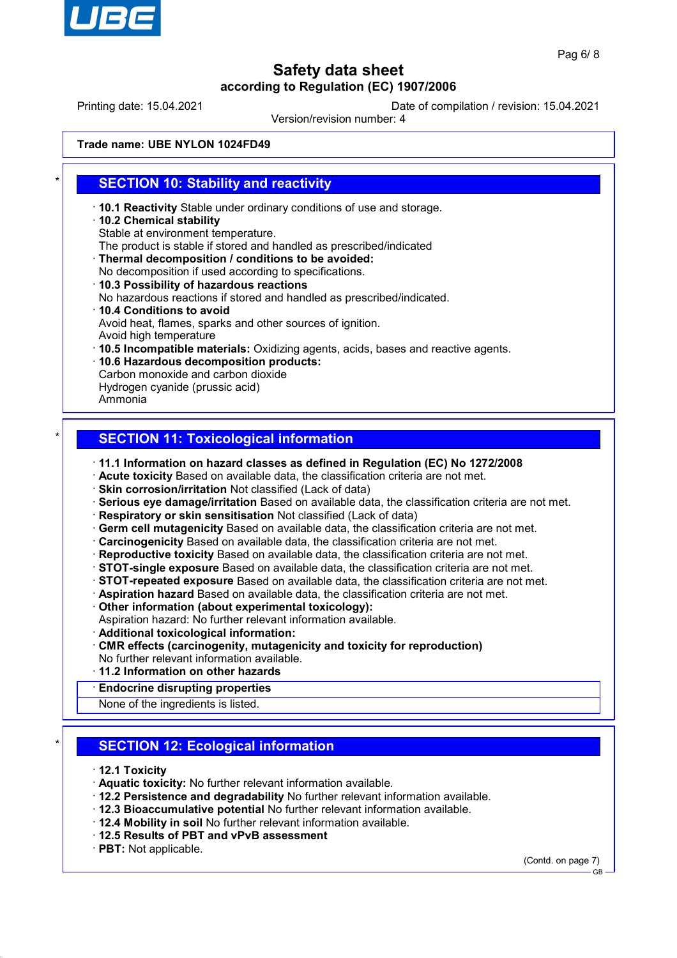

Printing date: 15.04.2021 Date of compilation / revision: 15.04.2021

Version/revision number: 4

#### **Trade name: UBE NYLON 1024FD49**

## **SECTION 10: Stability and reactivity**

- · **10.1 Reactivity** Stable under ordinary conditions of use and storage.
- · **10.2 Chemical stability**
- Stable at environment temperature.
- The product is stable if stored and handled as prescribed/indicated
- · **Thermal decomposition / conditions to be avoided:**
- No decomposition if used according to specifications. · **10.3 Possibility of hazardous reactions** No hazardous reactions if stored and handled as prescribed/indicated.
- · **10.4 Conditions to avoid** Avoid heat, flames, sparks and other sources of ignition. Avoid high temperature
- · **10.5 Incompatible materials:** Oxidizing agents, acids, bases and reactive agents.
- · **10.6 Hazardous decomposition products:** Carbon monoxide and carbon dioxide Hydrogen cyanide (prussic acid)
- Ammonia

## **SECTION 11: Toxicological information**

- · **11.1 Information on hazard classes as defined in Regulation (EC) No 1272/2008**
- · **Acute toxicity** Based on available data, the classification criteria are not met.
- · **Skin corrosion/irritation** Not classified (Lack of data)
- · **Serious eye damage/irritation** Based on available data, the classification criteria are not met.
- · **Respiratory or skin sensitisation** Not classified (Lack of data)
- · **Germ cell mutagenicity** Based on available data, the classification criteria are not met.
- · **Carcinogenicity** Based on available data, the classification criteria are not met.
- · **Reproductive toxicity** Based on available data, the classification criteria are not met.
- · **STOT-single exposure** Based on available data, the classification criteria are not met.
- · **STOT-repeated exposure** Based on available data, the classification criteria are not met.
- · **Aspiration hazard** Based on available data, the classification criteria are not met.
- · **Other information (about experimental toxicology):**
- Aspiration hazard: No further relevant information available.
- · **Additional toxicological information:**
- · **CMR effects (carcinogenity, mutagenicity and toxicity for reproduction)** No further relevant information available.
- · **11.2 Information on other hazards**
- · **Endocrine disrupting properties**

None of the ingredients is listed.

## **SECTION 12: Ecological information**

- · **12.1 Toxicity**
- · **Aquatic toxicity:** No further relevant information available.
- · **12.2 Persistence and degradability** No further relevant information available.
- · **12.3 Bioaccumulative potential** No further relevant information available.
- · **12.4 Mobility in soil** No further relevant information available.
- · **12.5 Results of PBT and vPvB assessment**
- · **PBT:** Not applicable.

(Contd. on page 7) GB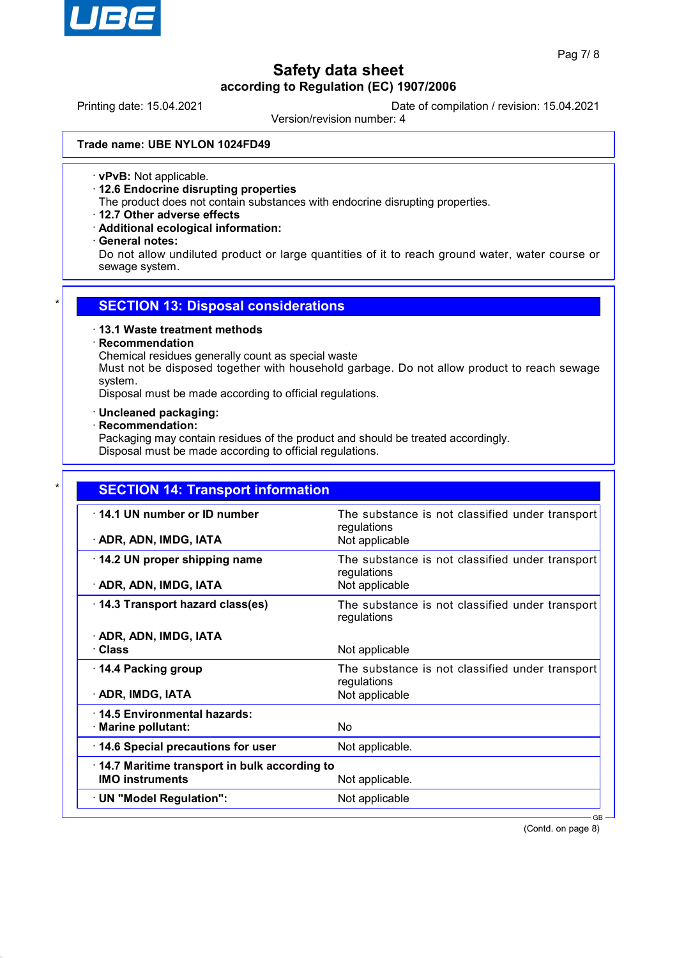

Printing date: 15.04.2021 Date of compilation / revision: 15.04.2021

Version/revision number: 4

#### **Trade name: UBE NYLON 1024FD49**

· **vPvB:** Not applicable.

· **12.6 Endocrine disrupting properties**

The product does not contain substances with endocrine disrupting properties.

- · **12.7 Other adverse effects**
- · **Additional ecological information:**
- · **General notes:**

Do not allow undiluted product or large quantities of it to reach ground water, water course or sewage system.

### **SECTION 13: Disposal considerations**

#### · **13.1 Waste treatment methods**

### · **Recommendation**

Chemical residues generally count as special waste

Must not be disposed together with household garbage. Do not allow product to reach sewage system.

Disposal must be made according to official regulations.

#### · **Uncleaned packaging:**

#### · **Recommendation:**

Packaging may contain residues of the product and should be treated accordingly. Disposal must be made according to official regulations.

| <b>SECTION 14: Transport information</b>     |                                                                |
|----------------------------------------------|----------------------------------------------------------------|
| 14.1 UN number or ID number                  | The substance is not classified under transport<br>regulations |
| · ADR, ADN, IMDG, IATA                       | Not applicable                                                 |
| 14.2 UN proper shipping name                 | The substance is not classified under transport<br>regulations |
| · ADR, ADN, IMDG, IATA                       | Not applicable                                                 |
| 14.3 Transport hazard class(es)              | The substance is not classified under transport<br>regulations |
| · ADR, ADN, IMDG, IATA                       |                                                                |
| · Class                                      | Not applicable                                                 |
| 14.4 Packing group                           | The substance is not classified under transport<br>regulations |
| · ADR, IMDG, IATA                            | Not applicable                                                 |
| 14.5 Environmental hazards:                  |                                                                |
| · Marine pollutant:                          | <b>No</b>                                                      |
| 14.6 Special precautions for user            | Not applicable.                                                |
| 14.7 Maritime transport in bulk according to |                                                                |
| <b>IMO instruments</b>                       | Not applicable.                                                |
| · UN "Model Regulation":                     | Not applicable                                                 |

(Contd. on page 8)